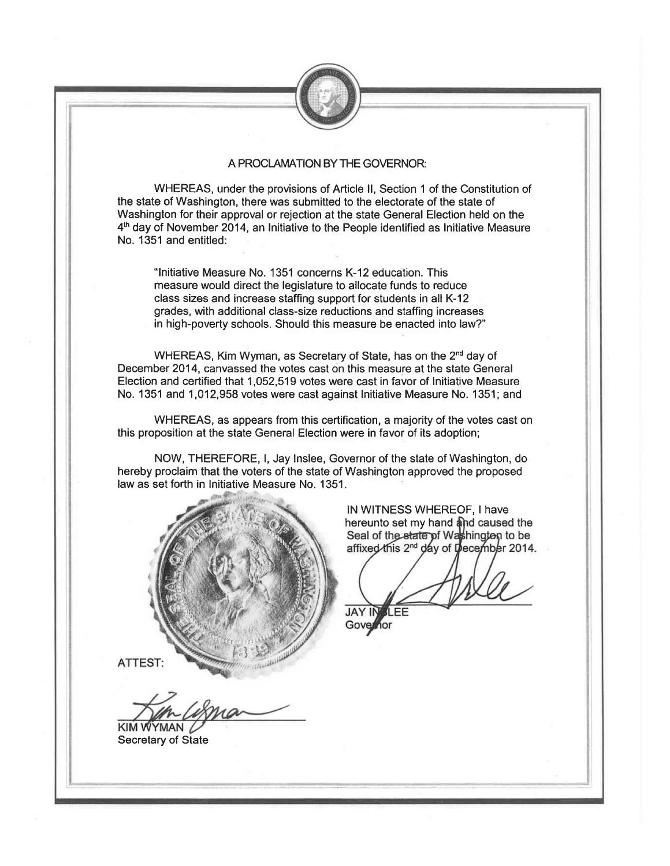

## A PROCLAMATION BY THE GOVERNOR:

WHEREAS, under the provisions of Article II, Section 1 of the Constitution of the state of Washington, there was submitted to the electorate of the state of Washington for their approval or rejection at the state General Election held on the 4th day of November 2014, an Initiative to the People identified as Initiative Measure No. 1351 and entitled:

"Initiative Measure No. 1351 concerns K-12 education. This measure would direct the legislature to allocate funds to reduce class sizes and increase staffing support for students in all K-12 grades, with additional class-size reductions and staffing increases in high-poverty schools. Should this measure be enacted into law?"

WHEREAS, Kim Wyman, as Secretary of State, has on the 2<sup>nd</sup> day of December 2014, canvassed the votes cast on this measure at the state General Election and certified that 1,052,519 votes were cast in favor of Initiative Measure No. 1351 and 1,012,958 votes were cast against Initiative Measure No. 1351; and

WHEREAS, as appears from this certification, a majority of the votes cast on this proposition at the state General Election were in favor of its adoption;

NOW, THEREFORE, I, Jay Inslee, Governor of the state of Washington, do hereby proclaim that the voters of the state of Washington approved the proposed law as set forth in Initiative Measure No. 1351.



IN WITNESS WHEREOF, I have hereunto set my hand and caused the Seal of the state of Washington to be affixed this 2<sup>nd</sup> day of December 2014.

**JAY IN** I FF Governor

ATTEST:

KIM WYMAN **Secretary of State**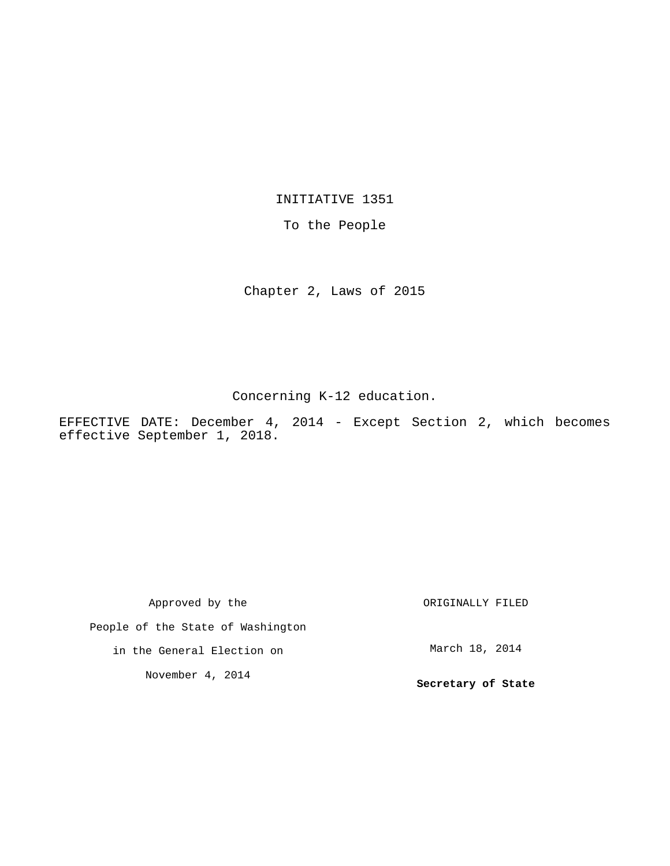INITIATIVE 1351

To the People

Chapter 2, Laws of 2015

Concerning K-12 education.

EFFECTIVE DATE: December 4, 2014 - Except Section 2, which becomes effective September 1, 2018.

Approved by the People of the State of Washington in the General Election on November 4, 2014 ORIGINALLY FILED March 18, 2014 **Secretary of State**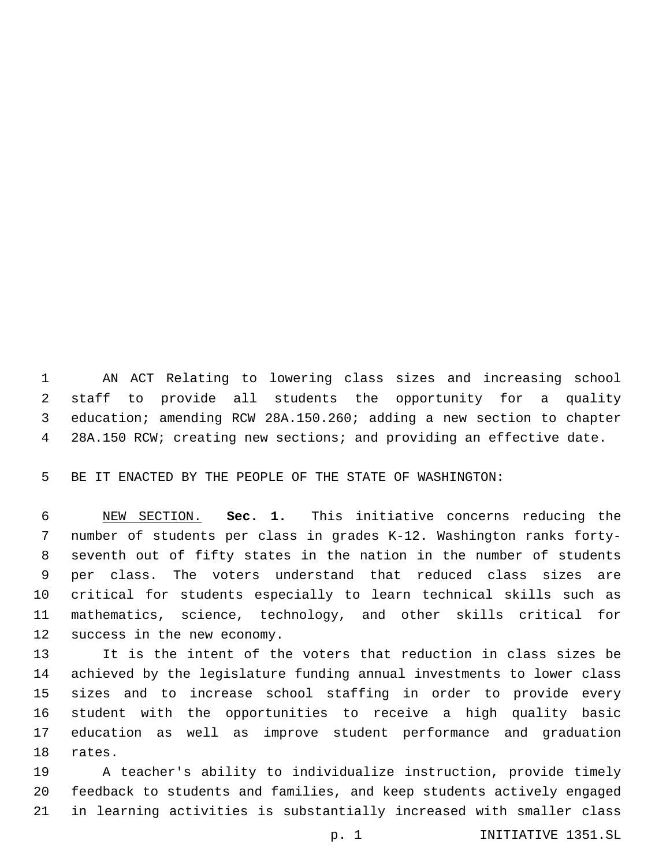AN ACT Relating to lowering class sizes and increasing school staff to provide all students the opportunity for a quality education; amending RCW 28A.150.260; adding a new section to chapter 28A.150 RCW; creating new sections; and providing an effective date.

BE IT ENACTED BY THE PEOPLE OF THE STATE OF WASHINGTON:

 NEW SECTION. **Sec. 1.** This initiative concerns reducing the number of students per class in grades K-12. Washington ranks forty- seventh out of fifty states in the nation in the number of students per class. The voters understand that reduced class sizes are critical for students especially to learn technical skills such as mathematics, science, technology, and other skills critical for success in the new economy.

 It is the intent of the voters that reduction in class sizes be achieved by the legislature funding annual investments to lower class sizes and to increase school staffing in order to provide every student with the opportunities to receive a high quality basic education as well as improve student performance and graduation 18 rates.

 A teacher's ability to individualize instruction, provide timely feedback to students and families, and keep students actively engaged in learning activities is substantially increased with smaller class

p. 1 INITIATIVE 1351.SL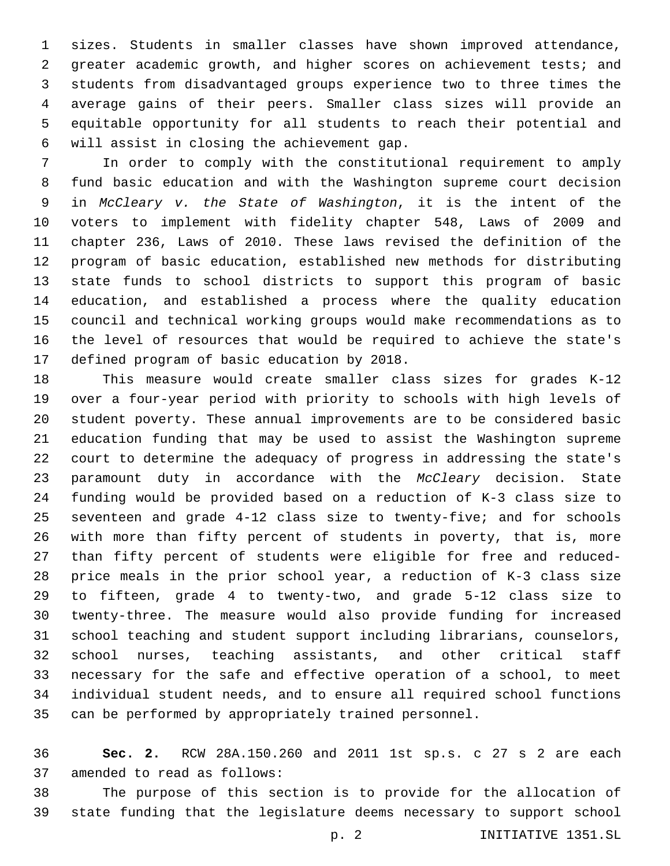sizes. Students in smaller classes have shown improved attendance, greater academic growth, and higher scores on achievement tests; and students from disadvantaged groups experience two to three times the average gains of their peers. Smaller class sizes will provide an equitable opportunity for all students to reach their potential and will assist in closing the achievement gap.6

 In order to comply with the constitutional requirement to amply fund basic education and with the Washington supreme court decision in *McCleary v. the State of Washington*, it is the intent of the voters to implement with fidelity chapter 548, Laws of 2009 and chapter 236, Laws of 2010. These laws revised the definition of the program of basic education, established new methods for distributing state funds to school districts to support this program of basic education, and established a process where the quality education council and technical working groups would make recommendations as to the level of resources that would be required to achieve the state's 17 defined program of basic education by 2018.

 This measure would create smaller class sizes for grades K-12 over a four-year period with priority to schools with high levels of student poverty. These annual improvements are to be considered basic education funding that may be used to assist the Washington supreme court to determine the adequacy of progress in addressing the state's paramount duty in accordance with the *McCleary* decision. State funding would be provided based on a reduction of K-3 class size to seventeen and grade 4-12 class size to twenty-five; and for schools with more than fifty percent of students in poverty, that is, more than fifty percent of students were eligible for free and reduced- price meals in the prior school year, a reduction of K-3 class size to fifteen, grade 4 to twenty-two, and grade 5-12 class size to twenty-three. The measure would also provide funding for increased school teaching and student support including librarians, counselors, school nurses, teaching assistants, and other critical staff necessary for the safe and effective operation of a school, to meet individual student needs, and to ensure all required school functions can be performed by appropriately trained personnel.

 **Sec. 2.** RCW 28A.150.260 and 2011 1st sp.s. c 27 s 2 are each 37 amended to read as follows:

 The purpose of this section is to provide for the allocation of state funding that the legislature deems necessary to support school

p. 2 INITIATIVE 1351.SL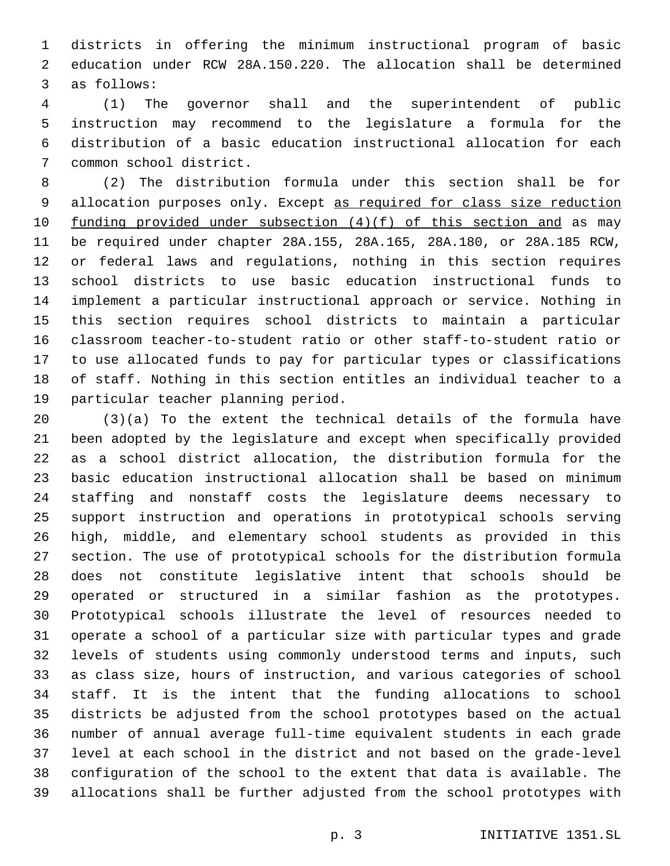districts in offering the minimum instructional program of basic education under RCW 28A.150.220. The allocation shall be determined 3 as follows:

 (1) The governor shall and the superintendent of public instruction may recommend to the legislature a formula for the distribution of a basic education instructional allocation for each 7 common school district.

 (2) The distribution formula under this section shall be for 9 allocation purposes only. Except as required for class size reduction 10 funding provided under subsection  $(4)(f)$  of this section and as may be required under chapter 28A.155, 28A.165, 28A.180, or 28A.185 RCW, or federal laws and regulations, nothing in this section requires school districts to use basic education instructional funds to implement a particular instructional approach or service. Nothing in this section requires school districts to maintain a particular classroom teacher-to-student ratio or other staff-to-student ratio or to use allocated funds to pay for particular types or classifications of staff. Nothing in this section entitles an individual teacher to a 19 particular teacher planning period.

 (3)(a) To the extent the technical details of the formula have been adopted by the legislature and except when specifically provided as a school district allocation, the distribution formula for the basic education instructional allocation shall be based on minimum staffing and nonstaff costs the legislature deems necessary to support instruction and operations in prototypical schools serving high, middle, and elementary school students as provided in this section. The use of prototypical schools for the distribution formula does not constitute legislative intent that schools should be operated or structured in a similar fashion as the prototypes. Prototypical schools illustrate the level of resources needed to operate a school of a particular size with particular types and grade levels of students using commonly understood terms and inputs, such as class size, hours of instruction, and various categories of school staff. It is the intent that the funding allocations to school districts be adjusted from the school prototypes based on the actual number of annual average full-time equivalent students in each grade level at each school in the district and not based on the grade-level configuration of the school to the extent that data is available. The allocations shall be further adjusted from the school prototypes with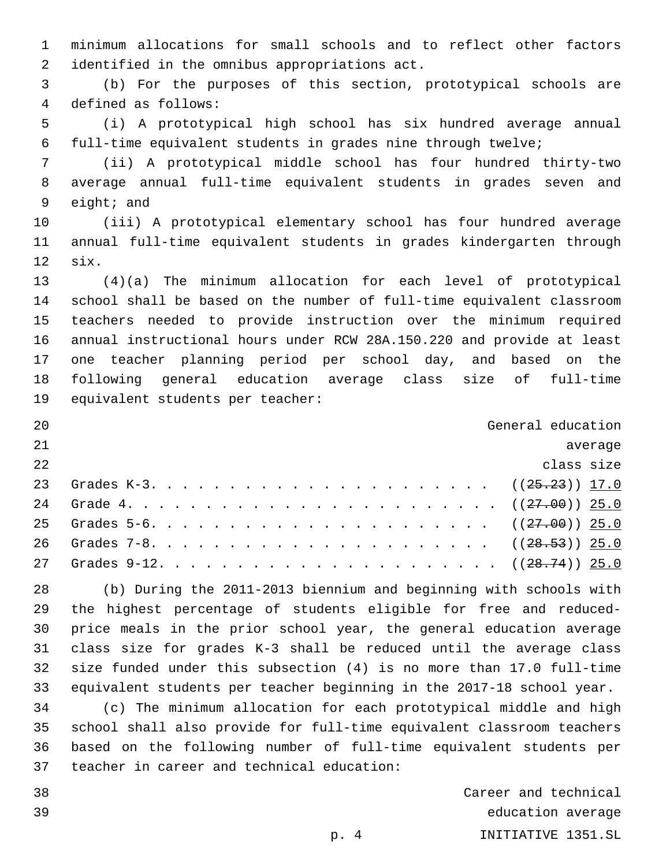minimum allocations for small schools and to reflect other factors 2 identified in the omnibus appropriations act.

 (b) For the purposes of this section, prototypical schools are 4 defined as follows:

 (i) A prototypical high school has six hundred average annual full-time equivalent students in grades nine through twelve;

 (ii) A prototypical middle school has four hundred thirty-two average annual full-time equivalent students in grades seven and 9 eight; and

 (iii) A prototypical elementary school has four hundred average annual full-time equivalent students in grades kindergarten through 12 six.

 (4)(a) The minimum allocation for each level of prototypical school shall be based on the number of full-time equivalent classroom teachers needed to provide instruction over the minimum required annual instructional hours under RCW 28A.150.220 and provide at least one teacher planning period per school day, and based on the following general education average class size of full-time 19 equivalent students per teacher:

| 20 | General education |
|----|-------------------|
| 21 | average           |
| 22 | class size        |
| 23 |                   |
| 24 |                   |
|    |                   |
| 26 |                   |
|    |                   |

 (b) During the 2011-2013 biennium and beginning with schools with the highest percentage of students eligible for free and reduced- price meals in the prior school year, the general education average class size for grades K-3 shall be reduced until the average class size funded under this subsection (4) is no more than 17.0 full-time equivalent students per teacher beginning in the 2017-18 school year. (c) The minimum allocation for each prototypical middle and high

 school shall also provide for full-time equivalent classroom teachers based on the following number of full-time equivalent students per 37 teacher in career and technical education:

 Career and technical education average p. 4 INITIATIVE 1351.SL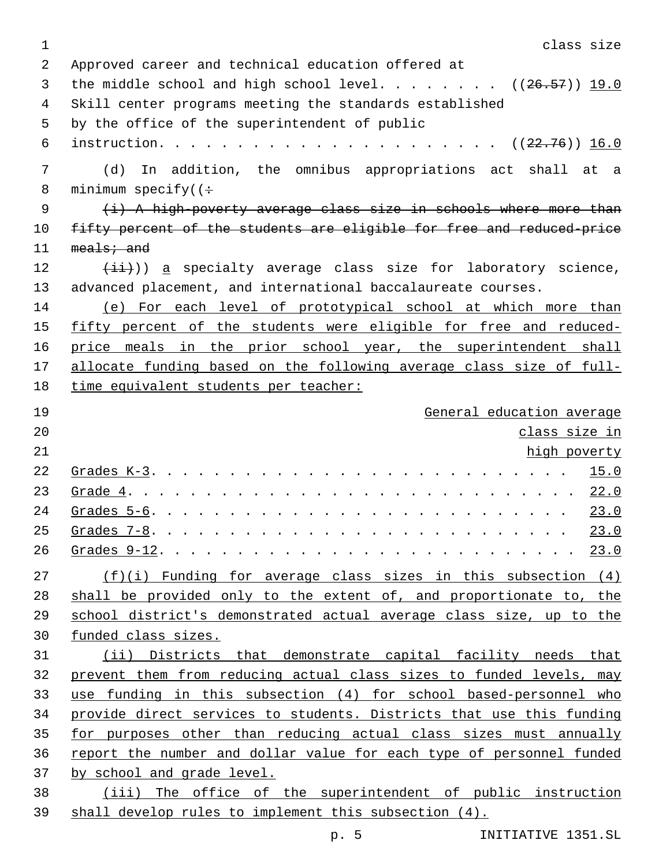| $\mathbf 1$ | class size                                                            |
|-------------|-----------------------------------------------------------------------|
| 2           | Approved career and technical education offered at                    |
| 3           | the middle school and high school level. ( $(26.57)$ ) 19.0           |
| 4           | Skill center programs meeting the standards established               |
| 5           | by the office of the superintendent of public                         |
| 6           |                                                                       |
| 7           | In addition, the omnibus appropriations act shall at a<br>(d)         |
| 8           | minimum specify( $(\div$                                              |
| 9           | (i) A high-poverty average class size in schools where more than      |
| 10          | fifty percent of the students are eligible for free and reduced-price |
| 11          | $meals:$ and                                                          |
| 12          | $(\pm \pm)$ ) a specialty average class size for laboratory science,  |
| 13          | advanced placement, and international baccalaureate courses.          |
| 14          | (e) For each level of prototypical school at which more than          |
| 15          | fifty percent of the students were eligible for free and reduced-     |
| 16          | price meals in the prior school year, the superintendent shall        |
| 17          | allocate funding based on the following average class size of full-   |
| 18          | time equivalent students per teacher:                                 |
| 19          | General education average                                             |
| 20          | class size in                                                         |
| 21          | high poverty                                                          |
| 22          | 15.0                                                                  |
| 23          | 22.0                                                                  |
| 24          | Grades $5-6$ .<br>23.0                                                |
| 25          | 23.0<br>Grades $7-8$ .                                                |
| 26          |                                                                       |
| 27          | $(f)(i)$ Funding for average class sizes in this subsection $(4)$     |
| 28          | shall be provided only to the extent of, and proportionate to, the    |
| 29          | school district's demonstrated actual average class size, up to the   |
| 30          | funded class sizes.                                                   |
| 31          | (ii) Districts that demonstrate capital facility needs that           |
| 32          | prevent them from reducing actual class sizes to funded levels, may   |
| 33          | use funding in this subsection (4) for school based-personnel who     |
| 34          | provide direct services to students. Districts that use this funding  |
| 35          | for purposes other than reducing actual class sizes must annually     |
| 36          | report the number and dollar value for each type of personnel funded  |
| 37          |                                                                       |
|             | by school and grade level.                                            |
| 38          | (iii) The office of the superintendent of public instruction          |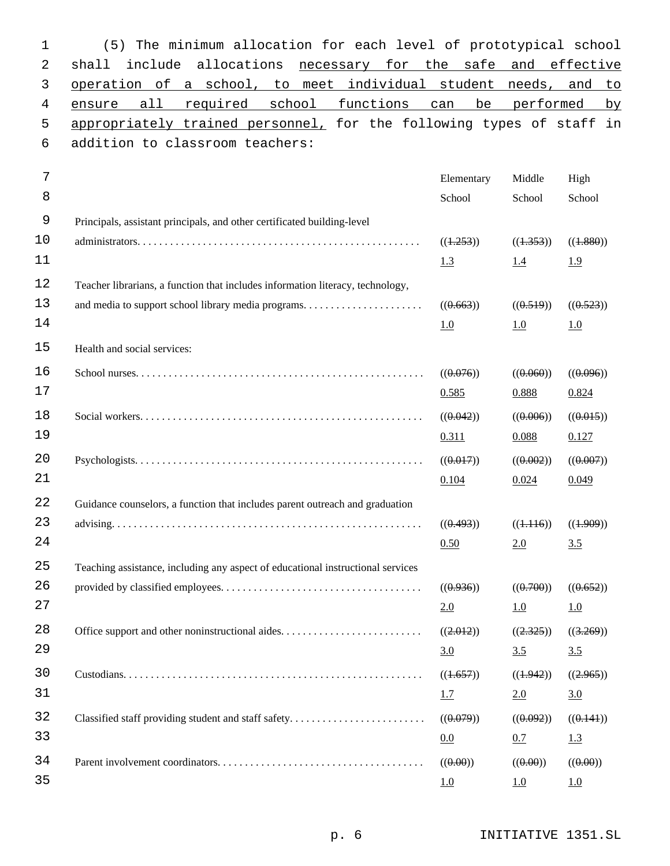| 1           | The minimum allocation for each level of prototypical school<br>(5)             |                           |                           |                                  |
|-------------|---------------------------------------------------------------------------------|---------------------------|---------------------------|----------------------------------|
| 2           | allocations<br>include<br>necessary for the<br>shall                            | safe                      | and                       | effective                        |
| 3           | operation of a school, to meet individual student needs,                        |                           |                           | and<br>to                        |
| 4           | required<br>school<br>functions<br>all<br>ensure                                | be<br>can                 | performed                 | by                               |
| 5           | appropriately trained personnel, for the following types of staff in            |                           |                           |                                  |
| 6           | addition to classroom teachers:                                                 |                           |                           |                                  |
| 7           |                                                                                 | Elementary                | Middle                    | High                             |
| 8           |                                                                                 | School                    | School                    | School                           |
| $\mathsf 9$ | Principals, assistant principals, and other certificated building-level         |                           |                           |                                  |
| 10          |                                                                                 | ((1.253))                 | ((1.353))                 | ((4.880))                        |
| 11          |                                                                                 | 1.3                       | 1.4                       | 1.9                              |
| 12          | Teacher librarians, a function that includes information literacy, technology,  |                           |                           |                                  |
| 13          |                                                                                 | ((0.663))                 | ((0.519))                 | ((0.523))                        |
| 14          |                                                                                 | 1.0                       | 1.0                       | 1.0                              |
| 15          | Health and social services:                                                     |                           |                           |                                  |
| 16          |                                                                                 | ((0.076))                 | $((\theta.\theta\theta))$ | ((0.096))                        |
| 17          |                                                                                 | 0.585                     | 0.888                     | 0.824                            |
| 18          |                                                                                 | ((0.042))                 | ((0.006))                 | ((0.015))                        |
| 19          |                                                                                 | 0.311                     | 0.088                     | 0.127                            |
| 20          |                                                                                 | ((0.017))                 | ((0.002))                 | ((0.007))                        |
| 21          |                                                                                 | 0.104                     | 0.024                     | 0.049                            |
| 22          | Guidance counselors, a function that includes parent outreach and graduation    |                           |                           |                                  |
| 23          |                                                                                 | ((0.493))                 | ((1.116))                 | ((4.909))                        |
| 24          |                                                                                 | 0.50                      | 2.0                       | 3.5                              |
| 25          | Teaching assistance, including any aspect of educational instructional services |                           |                           |                                  |
| 26          |                                                                                 | ((0.936))                 | ((0.700))                 | ((0.652))                        |
| 27          |                                                                                 | 2.0                       | 1.0                       | 1.0                              |
| 28          | Office support and other noninstructional aides                                 | ((2.012))                 | ((2.325))                 | ((3.269))                        |
| 29          |                                                                                 | 3.0                       | 3.5                       | 3.5                              |
| 30          |                                                                                 | ((1.657))                 | ((1.942))                 | ((2.965))                        |
| 31          |                                                                                 | 1.7                       | 2.0                       | 3.0                              |
| 32          | Classified staff providing student and staff safety                             | ((0.079))                 | ((0.092))                 | ((0.141))                        |
| 33          |                                                                                 | 0.0                       | 0.7                       | 1.3                              |
| 34          |                                                                                 | $((\theta.\theta\theta))$ | $((\theta.\theta\theta))$ | $((\theta \cdot \theta \theta))$ |
| 35          |                                                                                 | 1.0                       | 1.0                       | 1.0                              |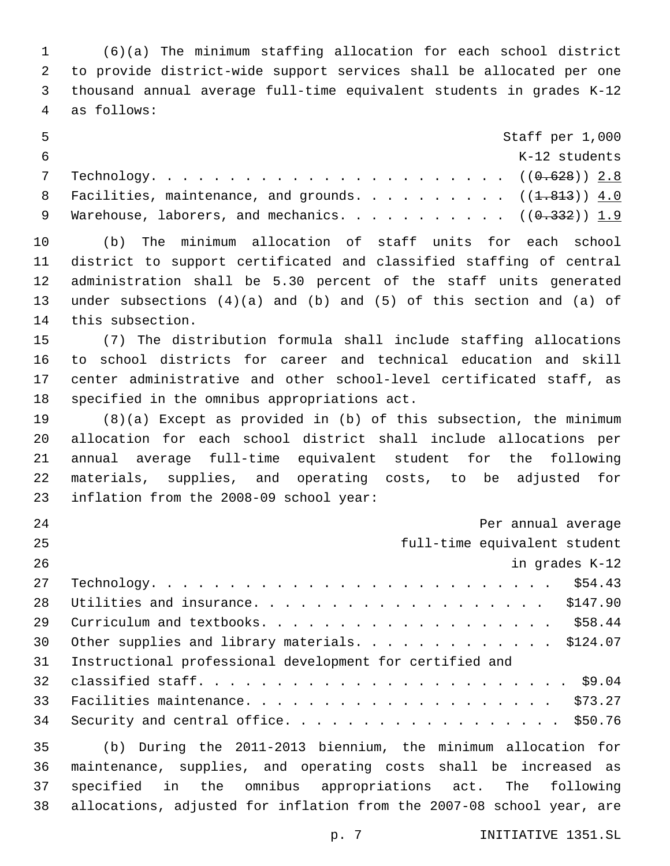(6)(a) The minimum staffing allocation for each school district to provide district-wide support services shall be allocated per one thousand annual average full-time equivalent students in grades K-12 4 as follows:

| - 5 | Staff per 1,000                                                    |
|-----|--------------------------------------------------------------------|
|     | K-12 students                                                      |
|     |                                                                    |
|     | 8 Facilities, maintenance, and grounds. (( <del>1.813</del> )) 4.0 |
|     | 9 Warehouse, laborers, and mechanics. $(0.332)$ ) 1.9              |

 (b) The minimum allocation of staff units for each school district to support certificated and classified staffing of central administration shall be 5.30 percent of the staff units generated under subsections (4)(a) and (b) and (5) of this section and (a) of 14 this subsection.

 (7) The distribution formula shall include staffing allocations to school districts for career and technical education and skill center administrative and other school-level certificated staff, as 18 specified in the omnibus appropriations act.

 (8)(a) Except as provided in (b) of this subsection, the minimum allocation for each school district shall include allocations per annual average full-time equivalent student for the following materials, supplies, and operating costs, to be adjusted for 23 inflation from the 2008-09 school year:

| 24 | Per annual average                                                                                                                                 |
|----|----------------------------------------------------------------------------------------------------------------------------------------------------|
| 25 | full-time equivalent student                                                                                                                       |
| 26 | in grades K-12                                                                                                                                     |
| 27 | \$54.43<br>$Technology.$                                                                                                                           |
| 28 |                                                                                                                                                    |
| 29 |                                                                                                                                                    |
| 30 | Other supplies and library materials. \$124.07                                                                                                     |
| 31 | Instructional professional development for certified and                                                                                           |
| 32 |                                                                                                                                                    |
| 33 |                                                                                                                                                    |
| 34 | Security and central office. \$50.76                                                                                                               |
|    | $\overline{a}$ , the contract of $\overline{a}$ , the contract of $\overline{a}$ , the contract of $\overline{a}$ , the contract of $\overline{a}$ |

 (b) During the 2011-2013 biennium, the minimum allocation for maintenance, supplies, and operating costs shall be increased as specified in the omnibus appropriations act. The following allocations, adjusted for inflation from the 2007-08 school year, are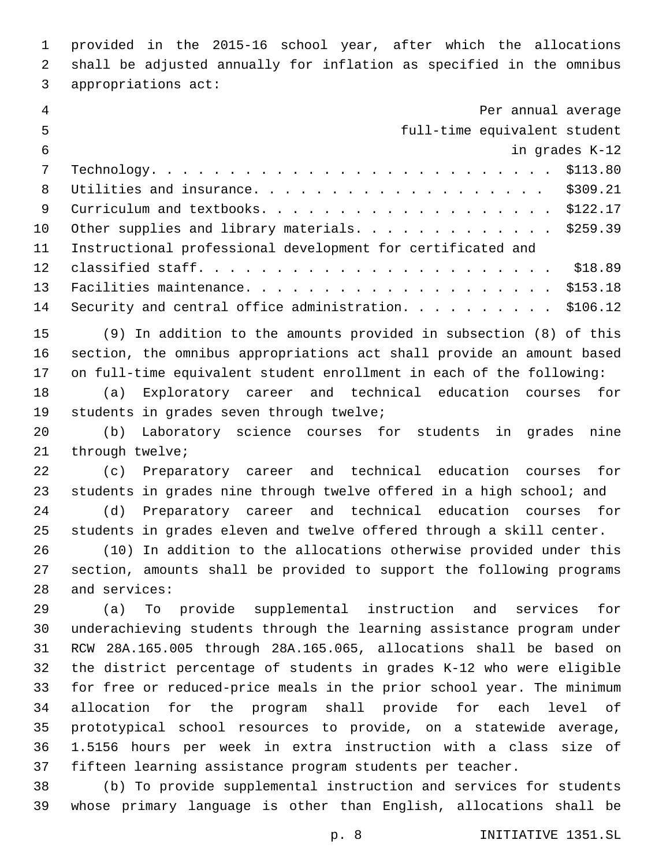provided in the 2015-16 school year, after which the allocations shall be adjusted annually for inflation as specified in the omnibus 3 appropriations act:

| $\overline{4}$ | Per annual average                                                     |
|----------------|------------------------------------------------------------------------|
| 5              | full-time equivalent student                                           |
| $6\,$          | in grades K-12                                                         |
| 7              | \$113.80                                                               |
| 8              | \$309.21                                                               |
| 9              | \$122.17                                                               |
| 10             | Other supplies and library materials.<br>\$259.39                      |
| 11             | Instructional professional development for certificated and            |
| 12             | \$18.89                                                                |
| 13             | \$153.18                                                               |
| 14             | \$106.12                                                               |
| 15             | (9) In addition to the amounts provided in subsection (8) of this      |
| 16             | section, the omnibus appropriations act shall provide an amount based  |
| 17             | on full-time equivalent student enrollment in each of the following:   |
| 18             | Exploratory career and technical education courses<br>(a)<br>for       |
| 19             | students in grades seven through twelve;                               |
| 20             | Laboratory science courses for students<br>(b)<br>grades<br>nine<br>in |
| 21             | through twelve;                                                        |
| 22             | Preparatory career and technical education courses<br>for<br>(c)       |
| 23             | students in grades nine through twelve offered in a high school; and   |
| 24             | Preparatory career and technical education courses<br>(d)<br>for       |
| 25             | students in grades eleven and twelve offered through a skill center.   |
| 26             | In addition to the allocations otherwise provided under this<br>(10)   |
| 27             | section, amounts shall be provided to support the following programs   |
| 28             | and services:                                                          |
| 29             | To provide supplemental instruction and services<br>(a)<br>for         |
| 30             | underachieving students through the learning assistance program under  |
| 31             | RCW 28A.165.005 through 28A.165.065, allocations shall be based on     |
| 32             | the district percentage of students in grades K-12 who were eligible   |
| 33             | for free or reduced-price meals in the prior school year. The minimum  |
| 34             | allocation for the program shall provide for each level of             |
| 35             | prototypical school resources to provide, on a statewide average,      |
| 36             | 1.5156 hours per week in extra instruction with a class size of        |
| 37             | fifteen learning assistance program students per teacher.              |
|                | 38 (b) To provide supplemental instruction and services for students   |

 (b) To provide supplemental instruction and services for students whose primary language is other than English, allocations shall be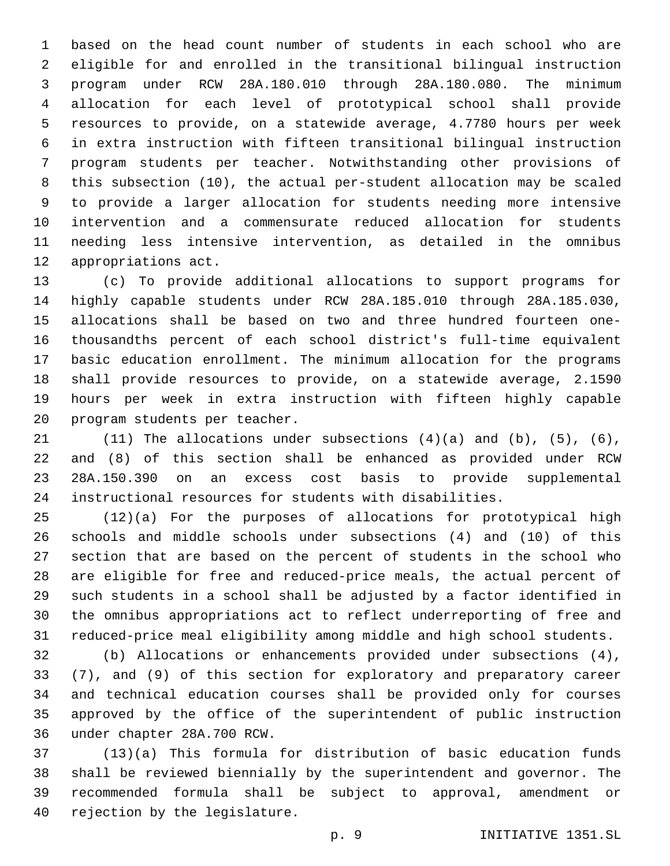based on the head count number of students in each school who are eligible for and enrolled in the transitional bilingual instruction program under RCW 28A.180.010 through 28A.180.080. The minimum allocation for each level of prototypical school shall provide resources to provide, on a statewide average, 4.7780 hours per week in extra instruction with fifteen transitional bilingual instruction program students per teacher. Notwithstanding other provisions of this subsection (10), the actual per-student allocation may be scaled to provide a larger allocation for students needing more intensive intervention and a commensurate reduced allocation for students needing less intensive intervention, as detailed in the omnibus 12 appropriations act.

 (c) To provide additional allocations to support programs for highly capable students under RCW 28A.185.010 through 28A.185.030, allocations shall be based on two and three hundred fourteen one- thousandths percent of each school district's full-time equivalent basic education enrollment. The minimum allocation for the programs shall provide resources to provide, on a statewide average, 2.1590 hours per week in extra instruction with fifteen highly capable 20 program students per teacher.

 $(11)$  The allocations under subsections  $(4)(a)$  and  $(b)$ ,  $(5)$ ,  $(6)$ , and (8) of this section shall be enhanced as provided under RCW 28A.150.390 on an excess cost basis to provide supplemental instructional resources for students with disabilities.

 (12)(a) For the purposes of allocations for prototypical high schools and middle schools under subsections (4) and (10) of this section that are based on the percent of students in the school who are eligible for free and reduced-price meals, the actual percent of such students in a school shall be adjusted by a factor identified in the omnibus appropriations act to reflect underreporting of free and reduced-price meal eligibility among middle and high school students.

 (b) Allocations or enhancements provided under subsections (4), (7), and (9) of this section for exploratory and preparatory career and technical education courses shall be provided only for courses approved by the office of the superintendent of public instruction under chapter 28A.700 RCW.36

 (13)(a) This formula for distribution of basic education funds shall be reviewed biennially by the superintendent and governor. The recommended formula shall be subject to approval, amendment or 40 rejection by the legislature.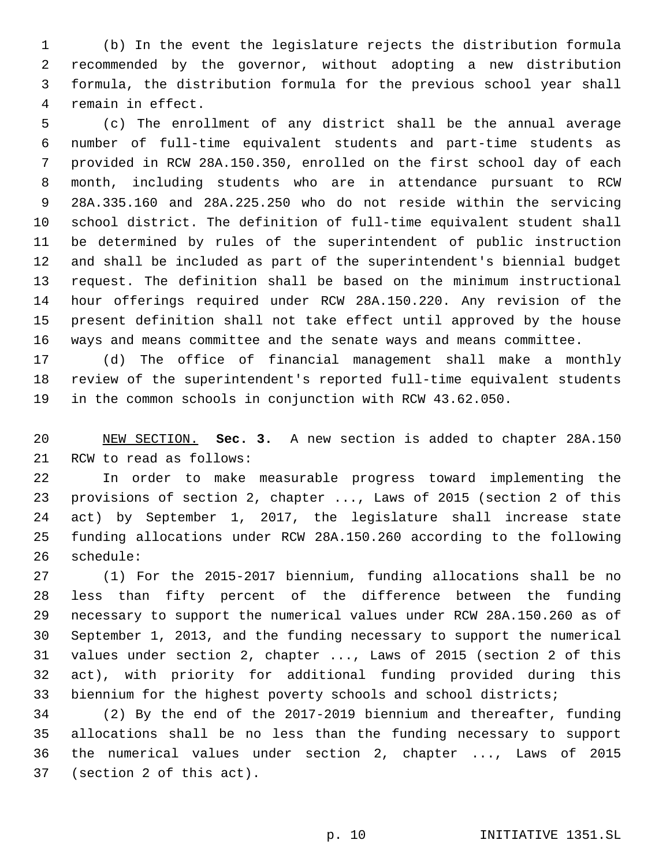(b) In the event the legislature rejects the distribution formula recommended by the governor, without adopting a new distribution formula, the distribution formula for the previous school year shall 4 remain in effect.

 (c) The enrollment of any district shall be the annual average number of full-time equivalent students and part-time students as provided in RCW 28A.150.350, enrolled on the first school day of each month, including students who are in attendance pursuant to RCW 28A.335.160 and 28A.225.250 who do not reside within the servicing school district. The definition of full-time equivalent student shall be determined by rules of the superintendent of public instruction and shall be included as part of the superintendent's biennial budget request. The definition shall be based on the minimum instructional hour offerings required under RCW 28A.150.220. Any revision of the present definition shall not take effect until approved by the house ways and means committee and the senate ways and means committee.

 (d) The office of financial management shall make a monthly review of the superintendent's reported full-time equivalent students in the common schools in conjunction with RCW 43.62.050.

 NEW SECTION. **Sec. 3.** A new section is added to chapter 28A.150 21 RCW to read as follows:

 In order to make measurable progress toward implementing the provisions of section 2, chapter ..., Laws of 2015 (section 2 of this act) by September 1, 2017, the legislature shall increase state funding allocations under RCW 28A.150.260 according to the following 26 schedule:

 (1) For the 2015-2017 biennium, funding allocations shall be no less than fifty percent of the difference between the funding necessary to support the numerical values under RCW 28A.150.260 as of September 1, 2013, and the funding necessary to support the numerical values under section 2, chapter ..., Laws of 2015 (section 2 of this act), with priority for additional funding provided during this biennium for the highest poverty schools and school districts;

 (2) By the end of the 2017-2019 biennium and thereafter, funding allocations shall be no less than the funding necessary to support the numerical values under section 2, chapter ..., Laws of 2015 37 (section 2 of this act).